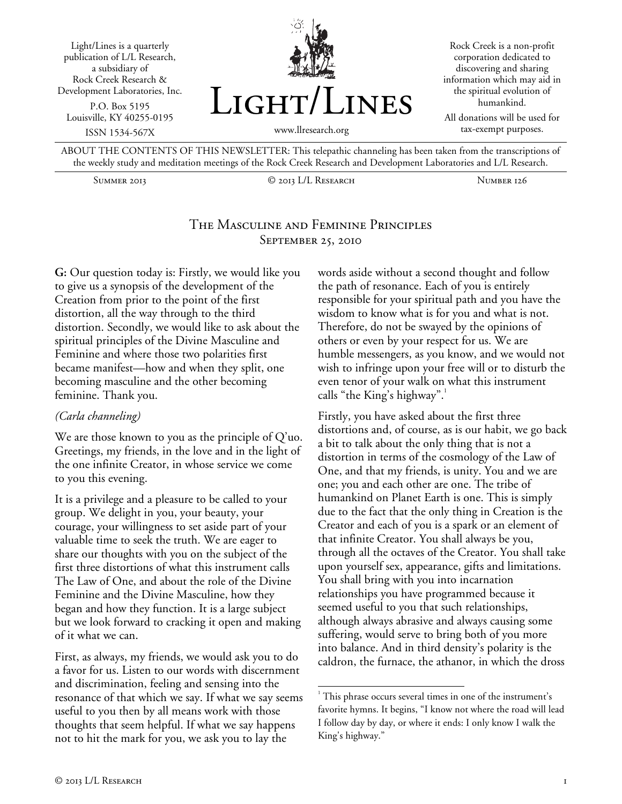



Rock Creek is a non-profit corporation dedicated to discovering and sharing information which may aid in the spiritual evolution of humankind.

All donations will be used for tax-exempt purposes.

ABOUT THE CONTENTS OF THIS NEWSLETTER: This telepathic channeling has been taken from the transcriptions of the weekly study and meditation meetings of the Rock Creek Research and Development Laboratories and L/L Research.

Summer 2013 © 2013 L/L Research Number 126

## The Masculine and Feminine Principles September 25, 2010

l

**G:** Our question today is: Firstly, we would like you to give us a synopsis of the development of the Creation from prior to the point of the first distortion, all the way through to the third distortion. Secondly, we would like to ask about the spiritual principles of the Divine Masculine and Feminine and where those two polarities first became manifest—how and when they split, one becoming masculine and the other becoming feminine. Thank you.

## *(Carla channeling)*

We are those known to you as the principle of Q'uo. Greetings, my friends, in the love and in the light of the one infinite Creator, in whose service we come to you this evening.

It is a privilege and a pleasure to be called to your group. We delight in you, your beauty, your courage, your willingness to set aside part of your valuable time to seek the truth. We are eager to share our thoughts with you on the subject of the first three distortions of what this instrument calls The Law of One, and about the role of the Divine Feminine and the Divine Masculine, how they began and how they function. It is a large subject but we look forward to cracking it open and making of it what we can.

First, as always, my friends, we would ask you to do a favor for us. Listen to our words with discernment and discrimination, feeling and sensing into the resonance of that which we say. If what we say seems useful to you then by all means work with those thoughts that seem helpful. If what we say happens not to hit the mark for you, we ask you to lay the

words aside without a second thought and follow the path of resonance. Each of you is entirely responsible for your spiritual path and you have the wisdom to know what is for you and what is not. Therefore, do not be swayed by the opinions of others or even by your respect for us. We are humble messengers, as you know, and we would not wish to infringe upon your free will or to disturb the even tenor of your walk on what this instrument calls "the King's highway".

Firstly, you have asked about the first three distortions and, of course, as is our habit, we go back a bit to talk about the only thing that is not a distortion in terms of the cosmology of the Law of One, and that my friends, is unity. You and we are one; you and each other are one. The tribe of humankind on Planet Earth is one. This is simply due to the fact that the only thing in Creation is the Creator and each of you is a spark or an element of that infinite Creator. You shall always be you, through all the octaves of the Creator. You shall take upon yourself sex, appearance, gifts and limitations. You shall bring with you into incarnation relationships you have programmed because it seemed useful to you that such relationships, although always abrasive and always causing some suffering, would serve to bring both of you more into balance. And in third density's polarity is the caldron, the furnace, the athanor, in which the dross

<sup>&</sup>lt;sup>1</sup> This phrase occurs several times in one of the instrument's favorite hymns. It begins, "I know not where the road will lead I follow day by day, or where it ends: I only know I walk the King's highway."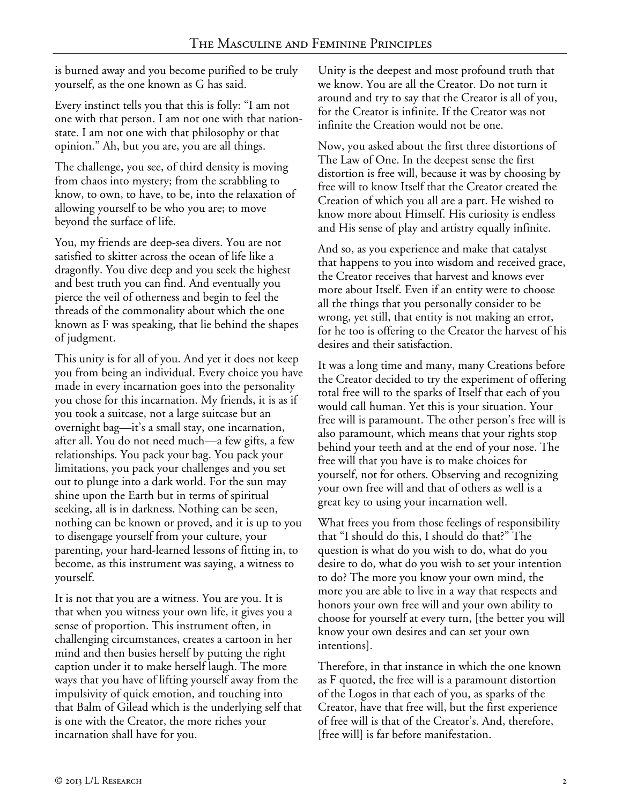is burned away and you become purified to be truly yourself, as the one known as G has said.

Every instinct tells you that this is folly: "I am not one with that person. I am not one with that nationstate. I am not one with that philosophy or that opinion." Ah, but you are, you are all things.

The challenge, you see, of third density is moving from chaos into mystery; from the scrabbling to know, to own, to have, to be, into the relaxation of allowing yourself to be who you are; to move beyond the surface of life.

You, my friends are deep-sea divers. You are not satisfied to skitter across the ocean of life like a dragonfly. You dive deep and you seek the highest and best truth you can find. And eventually you pierce the veil of otherness and begin to feel the threads of the commonality about which the one known as F was speaking, that lie behind the shapes of judgment.

This unity is for all of you. And yet it does not keep you from being an individual. Every choice you have made in every incarnation goes into the personality you chose for this incarnation. My friends, it is as if you took a suitcase, not a large suitcase but an overnight bag—it's a small stay, one incarnation, after all. You do not need much—a few gifts, a few relationships. You pack your bag. You pack your limitations, you pack your challenges and you set out to plunge into a dark world. For the sun may shine upon the Earth but in terms of spiritual seeking, all is in darkness. Nothing can be seen, nothing can be known or proved, and it is up to you to disengage yourself from your culture, your parenting, your hard-learned lessons of fitting in, to become, as this instrument was saying, a witness to yourself.

It is not that you are a witness. You are you. It is that when you witness your own life, it gives you a sense of proportion. This instrument often, in challenging circumstances, creates a cartoon in her mind and then busies herself by putting the right caption under it to make herself laugh. The more ways that you have of lifting yourself away from the impulsivity of quick emotion, and touching into that Balm of Gilead which is the underlying self that is one with the Creator, the more riches your incarnation shall have for you.

Unity is the deepest and most profound truth that we know. You are all the Creator. Do not turn it around and try to say that the Creator is all of you, for the Creator is infinite. If the Creator was not infinite the Creation would not be one.

Now, you asked about the first three distortions of The Law of One. In the deepest sense the first distortion is free will, because it was by choosing by free will to know Itself that the Creator created the Creation of which you all are a part. He wished to know more about Himself. His curiosity is endless and His sense of play and artistry equally infinite.

And so, as you experience and make that catalyst that happens to you into wisdom and received grace, the Creator receives that harvest and knows ever more about Itself. Even if an entity were to choose all the things that you personally consider to be wrong, yet still, that entity is not making an error, for he too is offering to the Creator the harvest of his desires and their satisfaction.

It was a long time and many, many Creations before the Creator decided to try the experiment of offering total free will to the sparks of Itself that each of you would call human. Yet this is your situation. Your free will is paramount. The other person's free will is also paramount, which means that your rights stop behind your teeth and at the end of your nose. The free will that you have is to make choices for yourself, not for others. Observing and recognizing your own free will and that of others as well is a great key to using your incarnation well.

What frees you from those feelings of responsibility that "I should do this, I should do that?" The question is what do you wish to do, what do you desire to do, what do you wish to set your intention to do? The more you know your own mind, the more you are able to live in a way that respects and honors your own free will and your own ability to choose for yourself at every turn, [the better you will know your own desires and can set your own intentions].

Therefore, in that instance in which the one known as F quoted, the free will is a paramount distortion of the Logos in that each of you, as sparks of the Creator, have that free will, but the first experience of free will is that of the Creator's. And, therefore, [free will] is far before manifestation.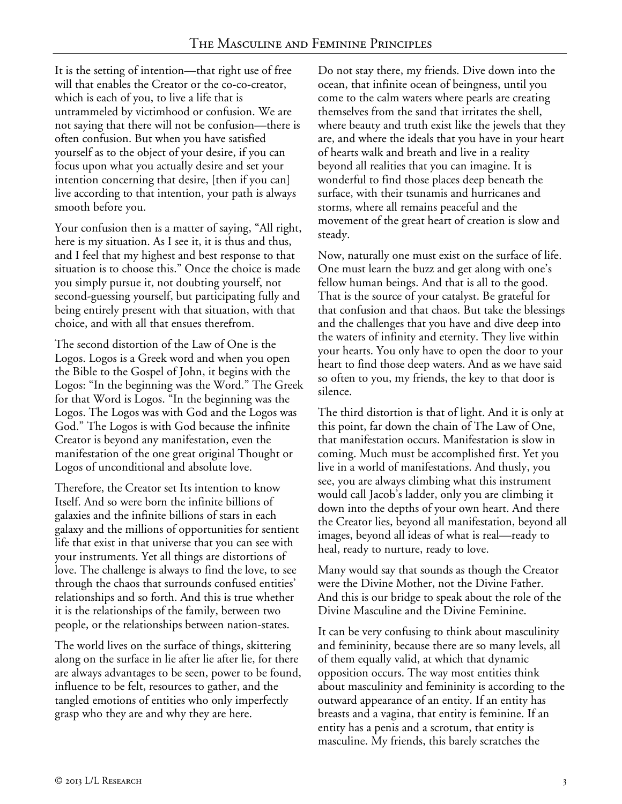It is the setting of intention—that right use of free will that enables the Creator or the co-co-creator, which is each of you, to live a life that is untrammeled by victimhood or confusion. We are not saying that there will not be confusion—there is often confusion. But when you have satisfied yourself as to the object of your desire, if you can focus upon what you actually desire and set your intention concerning that desire, [then if you can] live according to that intention, your path is always smooth before you.

Your confusion then is a matter of saying, "All right, here is my situation. As I see it, it is thus and thus, and I feel that my highest and best response to that situation is to choose this." Once the choice is made you simply pursue it, not doubting yourself, not second-guessing yourself, but participating fully and being entirely present with that situation, with that choice, and with all that ensues therefrom.

The second distortion of the Law of One is the Logos. Logos is a Greek word and when you open the Bible to the Gospel of John, it begins with the Logos: "In the beginning was the Word." The Greek for that Word is Logos. "In the beginning was the Logos. The Logos was with God and the Logos was God." The Logos is with God because the infinite Creator is beyond any manifestation, even the manifestation of the one great original Thought or Logos of unconditional and absolute love.

Therefore, the Creator set Its intention to know Itself. And so were born the infinite billions of galaxies and the infinite billions of stars in each galaxy and the millions of opportunities for sentient life that exist in that universe that you can see with your instruments. Yet all things are distortions of love. The challenge is always to find the love, to see through the chaos that surrounds confused entities' relationships and so forth. And this is true whether it is the relationships of the family, between two people, or the relationships between nation-states.

The world lives on the surface of things, skittering along on the surface in lie after lie after lie, for there are always advantages to be seen, power to be found, influence to be felt, resources to gather, and the tangled emotions of entities who only imperfectly grasp who they are and why they are here.

Do not stay there, my friends. Dive down into the ocean, that infinite ocean of beingness, until you come to the calm waters where pearls are creating themselves from the sand that irritates the shell, where beauty and truth exist like the jewels that they are, and where the ideals that you have in your heart of hearts walk and breath and live in a reality beyond all realities that you can imagine. It is wonderful to find those places deep beneath the surface, with their tsunamis and hurricanes and storms, where all remains peaceful and the movement of the great heart of creation is slow and steady.

Now, naturally one must exist on the surface of life. One must learn the buzz and get along with one's fellow human beings. And that is all to the good. That is the source of your catalyst. Be grateful for that confusion and that chaos. But take the blessings and the challenges that you have and dive deep into the waters of infinity and eternity. They live within your hearts. You only have to open the door to your heart to find those deep waters. And as we have said so often to you, my friends, the key to that door is silence.

The third distortion is that of light. And it is only at this point, far down the chain of The Law of One, that manifestation occurs. Manifestation is slow in coming. Much must be accomplished first. Yet you live in a world of manifestations. And thusly, you see, you are always climbing what this instrument would call Jacob's ladder, only you are climbing it down into the depths of your own heart. And there the Creator lies, beyond all manifestation, beyond all images, beyond all ideas of what is real—ready to heal, ready to nurture, ready to love.

Many would say that sounds as though the Creator were the Divine Mother, not the Divine Father. And this is our bridge to speak about the role of the Divine Masculine and the Divine Feminine.

It can be very confusing to think about masculinity and femininity, because there are so many levels, all of them equally valid, at which that dynamic opposition occurs. The way most entities think about masculinity and femininity is according to the outward appearance of an entity. If an entity has breasts and a vagina, that entity is feminine. If an entity has a penis and a scrotum, that entity is masculine. My friends, this barely scratches the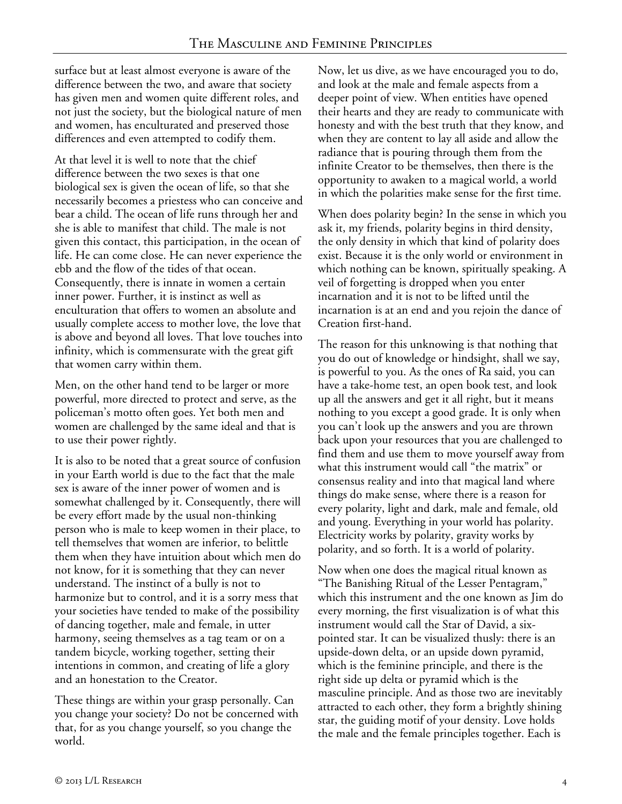surface but at least almost everyone is aware of the difference between the two, and aware that society has given men and women quite different roles, and not just the society, but the biological nature of men and women, has enculturated and preserved those differences and even attempted to codify them.

At that level it is well to note that the chief difference between the two sexes is that one biological sex is given the ocean of life, so that she necessarily becomes a priestess who can conceive and bear a child. The ocean of life runs through her and she is able to manifest that child. The male is not given this contact, this participation, in the ocean of life. He can come close. He can never experience the ebb and the flow of the tides of that ocean. Consequently, there is innate in women a certain inner power. Further, it is instinct as well as enculturation that offers to women an absolute and usually complete access to mother love, the love that is above and beyond all loves. That love touches into infinity, which is commensurate with the great gift that women carry within them.

Men, on the other hand tend to be larger or more powerful, more directed to protect and serve, as the policeman's motto often goes. Yet both men and women are challenged by the same ideal and that is to use their power rightly.

It is also to be noted that a great source of confusion in your Earth world is due to the fact that the male sex is aware of the inner power of women and is somewhat challenged by it. Consequently, there will be every effort made by the usual non-thinking person who is male to keep women in their place, to tell themselves that women are inferior, to belittle them when they have intuition about which men do not know, for it is something that they can never understand. The instinct of a bully is not to harmonize but to control, and it is a sorry mess that your societies have tended to make of the possibility of dancing together, male and female, in utter harmony, seeing themselves as a tag team or on a tandem bicycle, working together, setting their intentions in common, and creating of life a glory and an honestation to the Creator.

These things are within your grasp personally. Can you change your society? Do not be concerned with that, for as you change yourself, so you change the world.

Now, let us dive, as we have encouraged you to do, and look at the male and female aspects from a deeper point of view. When entities have opened their hearts and they are ready to communicate with honesty and with the best truth that they know, and when they are content to lay all aside and allow the radiance that is pouring through them from the infinite Creator to be themselves, then there is the opportunity to awaken to a magical world, a world in which the polarities make sense for the first time.

When does polarity begin? In the sense in which you ask it, my friends, polarity begins in third density, the only density in which that kind of polarity does exist. Because it is the only world or environment in which nothing can be known, spiritually speaking. A veil of forgetting is dropped when you enter incarnation and it is not to be lifted until the incarnation is at an end and you rejoin the dance of Creation first-hand.

The reason for this unknowing is that nothing that you do out of knowledge or hindsight, shall we say, is powerful to you. As the ones of Ra said, you can have a take-home test, an open book test, and look up all the answers and get it all right, but it means nothing to you except a good grade. It is only when you can't look up the answers and you are thrown back upon your resources that you are challenged to find them and use them to move yourself away from what this instrument would call "the matrix" or consensus reality and into that magical land where things do make sense, where there is a reason for every polarity, light and dark, male and female, old and young. Everything in your world has polarity. Electricity works by polarity, gravity works by polarity, and so forth. It is a world of polarity.

Now when one does the magical ritual known as "The Banishing Ritual of the Lesser Pentagram," which this instrument and the one known as Jim do every morning, the first visualization is of what this instrument would call the Star of David, a sixpointed star. It can be visualized thusly: there is an upside-down delta, or an upside down pyramid, which is the feminine principle, and there is the right side up delta or pyramid which is the masculine principle. And as those two are inevitably attracted to each other, they form a brightly shining star, the guiding motif of your density. Love holds the male and the female principles together. Each is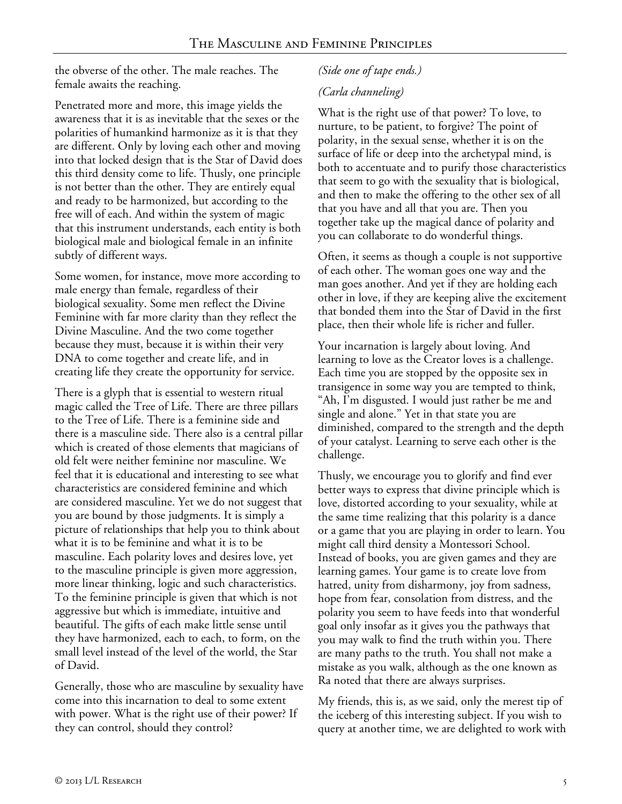the obverse of the other. The male reaches. The female awaits the reaching.

Penetrated more and more, this image yields the awareness that it is as inevitable that the sexes or the polarities of humankind harmonize as it is that they are different. Only by loving each other and moving into that locked design that is the Star of David does this third density come to life. Thusly, one principle is not better than the other. They are entirely equal and ready to be harmonized, but according to the free will of each. And within the system of magic that this instrument understands, each entity is both biological male and biological female in an infinite subtly of different ways.

Some women, for instance, move more according to male energy than female, regardless of their biological sexuality. Some men reflect the Divine Feminine with far more clarity than they reflect the Divine Masculine. And the two come together because they must, because it is within their very DNA to come together and create life, and in creating life they create the opportunity for service.

There is a glyph that is essential to western ritual magic called the Tree of Life. There are three pillars to the Tree of Life. There is a feminine side and there is a masculine side. There also is a central pillar which is created of those elements that magicians of old felt were neither feminine nor masculine. We feel that it is educational and interesting to see what characteristics are considered feminine and which are considered masculine. Yet we do not suggest that you are bound by those judgments. It is simply a picture of relationships that help you to think about what it is to be feminine and what it is to be masculine. Each polarity loves and desires love, yet to the masculine principle is given more aggression, more linear thinking, logic and such characteristics. To the feminine principle is given that which is not aggressive but which is immediate, intuitive and beautiful. The gifts of each make little sense until they have harmonized, each to each, to form, on the small level instead of the level of the world, the Star of David.

Generally, those who are masculine by sexuality have come into this incarnation to deal to some extent with power. What is the right use of their power? If they can control, should they control?

# *(Side one of tape ends.)*

## *(Carla channeling)*

What is the right use of that power? To love, to nurture, to be patient, to forgive? The point of polarity, in the sexual sense, whether it is on the surface of life or deep into the archetypal mind, is both to accentuate and to purify those characteristics that seem to go with the sexuality that is biological, and then to make the offering to the other sex of all that you have and all that you are. Then you together take up the magical dance of polarity and you can collaborate to do wonderful things.

Often, it seems as though a couple is not supportive of each other. The woman goes one way and the man goes another. And yet if they are holding each other in love, if they are keeping alive the excitement that bonded them into the Star of David in the first place, then their whole life is richer and fuller.

Your incarnation is largely about loving. And learning to love as the Creator loves is a challenge. Each time you are stopped by the opposite sex in transigence in some way you are tempted to think, "Ah, I'm disgusted. I would just rather be me and single and alone." Yet in that state you are diminished, compared to the strength and the depth of your catalyst. Learning to serve each other is the challenge.

Thusly, we encourage you to glorify and find ever better ways to express that divine principle which is love, distorted according to your sexuality, while at the same time realizing that this polarity is a dance or a game that you are playing in order to learn. You might call third density a Montessori School. Instead of books, you are given games and they are learning games. Your game is to create love from hatred, unity from disharmony, joy from sadness, hope from fear, consolation from distress, and the polarity you seem to have feeds into that wonderful goal only insofar as it gives you the pathways that you may walk to find the truth within you. There are many paths to the truth. You shall not make a mistake as you walk, although as the one known as Ra noted that there are always surprises.

My friends, this is, as we said, only the merest tip of the iceberg of this interesting subject. If you wish to query at another time, we are delighted to work with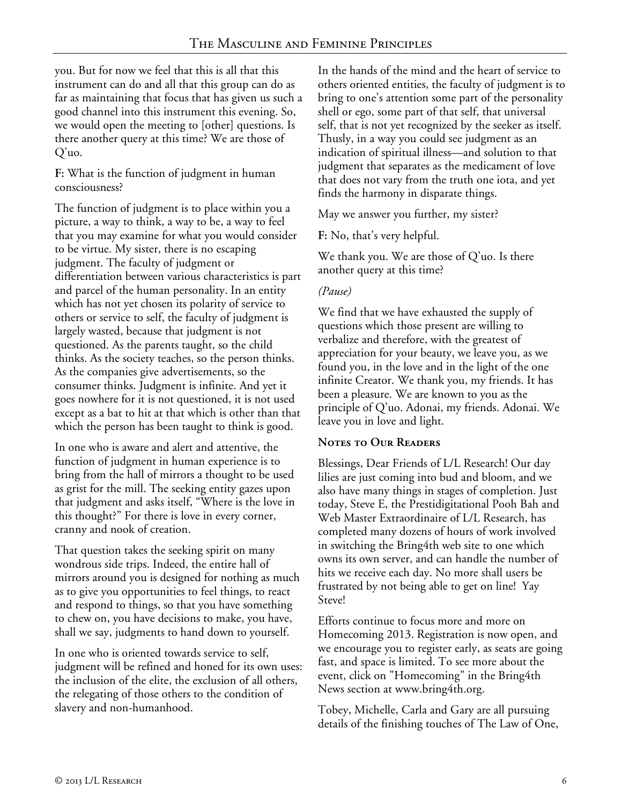you. But for now we feel that this is all that this instrument can do and all that this group can do as far as maintaining that focus that has given us such a good channel into this instrument this evening. So, we would open the meeting to [other] questions. Is there another query at this time? We are those of Q'uo.

**F:** What is the function of judgment in human consciousness?

The function of judgment is to place within you a picture, a way to think, a way to be, a way to feel that you may examine for what you would consider to be virtue. My sister, there is no escaping judgment. The faculty of judgment or differentiation between various characteristics is part and parcel of the human personality. In an entity which has not yet chosen its polarity of service to others or service to self, the faculty of judgment is largely wasted, because that judgment is not questioned. As the parents taught, so the child thinks. As the society teaches, so the person thinks. As the companies give advertisements, so the consumer thinks. Judgment is infinite. And yet it goes nowhere for it is not questioned, it is not used except as a bat to hit at that which is other than that which the person has been taught to think is good.

In one who is aware and alert and attentive, the function of judgment in human experience is to bring from the hall of mirrors a thought to be used as grist for the mill. The seeking entity gazes upon that judgment and asks itself, "Where is the love in this thought?" For there is love in every corner, cranny and nook of creation.

That question takes the seeking spirit on many wondrous side trips. Indeed, the entire hall of mirrors around you is designed for nothing as much as to give you opportunities to feel things, to react and respond to things, so that you have something to chew on, you have decisions to make, you have, shall we say, judgments to hand down to yourself.

In one who is oriented towards service to self, judgment will be refined and honed for its own uses: the inclusion of the elite, the exclusion of all others, the relegating of those others to the condition of slavery and non-humanhood.

In the hands of the mind and the heart of service to others oriented entities, the faculty of judgment is to bring to one's attention some part of the personality shell or ego, some part of that self, that universal self, that is not yet recognized by the seeker as itself. Thusly, in a way you could see judgment as an indication of spiritual illness—and solution to that judgment that separates as the medicament of love that does not vary from the truth one iota, and yet finds the harmony in disparate things.

May we answer you further, my sister?

**F:** No, that's very helpful.

We thank you. We are those of Q'uo. Is there another query at this time?

## *(Pause)*

We find that we have exhausted the supply of questions which those present are willing to verbalize and therefore, with the greatest of appreciation for your beauty, we leave you, as we found you, in the love and in the light of the one infinite Creator. We thank you, my friends. It has been a pleasure. We are known to you as the principle of Q'uo. Adonai, my friends. Adonai. We leave you in love and light.

## **Notes to Our Readers**

Blessings, Dear Friends of L/L Research! Our day lilies are just coming into bud and bloom, and we also have many things in stages of completion. Just today, Steve E, the Prestidigitational Pooh Bah and Web Master Extraordinaire of L/L Research, has completed many dozens of hours of work involved in switching the Bring4th web site to one which owns its own server, and can handle the number of hits we receive each day. No more shall users be frustrated by not being able to get on line! Yay Steve!

Efforts continue to focus more and more on Homecoming 2013. Registration is now open, and we encourage you to register early, as seats are going fast, and space is limited. To see more about the event, click on "Homecoming" in the Bring4th News section at www.bring4th.org.

Tobey, Michelle, Carla and Gary are all pursuing details of the finishing touches of The Law of One,